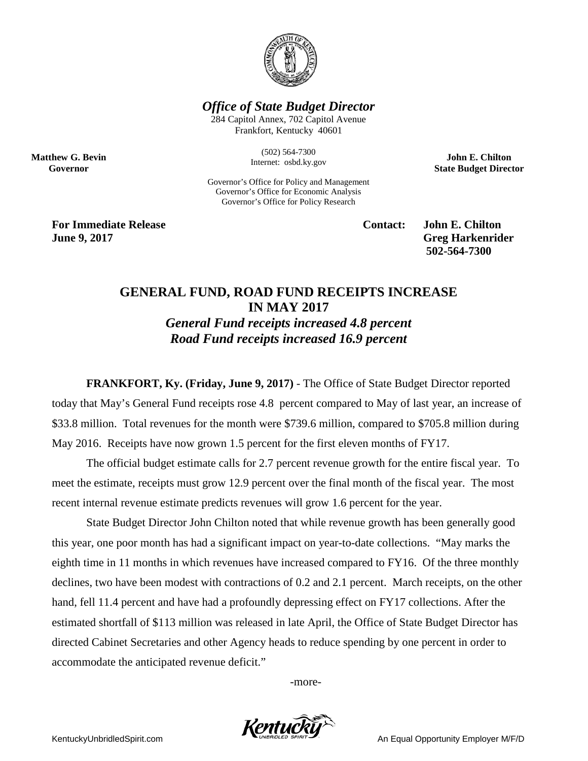

*Office of State Budget Director*

284 Capitol Annex, 702 Capitol Avenue Frankfort, Kentucky 40601

> (502) 564-7300 Internet: osbd.ky.gov

Governor's Office for Policy and Management Governor's Office for Economic Analysis Governor's Office for Policy Research

**John E. Chilton State Budget Director**

**For Immediate Release Contact: John E. Chilton June 9, 2017** Greg Harkenrider

**Matthew G. Bevin Governor**

**502-564-7300** 

## **GENERAL FUND, ROAD FUND RECEIPTS INCREASE IN MAY 2017** *General Fund receipts increased 4.8 percent Road Fund receipts increased 16.9 percent*

**FRANKFORT, Ky. (Friday, June 9, 2017)** - The Office of State Budget Director reported today that May's General Fund receipts rose 4.8 percent compared to May of last year, an increase of \$33.8 million. Total revenues for the month were \$739.6 million, compared to \$705.8 million during May 2016. Receipts have now grown 1.5 percent for the first eleven months of FY17.

The official budget estimate calls for 2.7 percent revenue growth for the entire fiscal year. To meet the estimate, receipts must grow 12.9 percent over the final month of the fiscal year. The most recent internal revenue estimate predicts revenues will grow 1.6 percent for the year.

State Budget Director John Chilton noted that while revenue growth has been generally good this year, one poor month has had a significant impact on year-to-date collections. "May marks the eighth time in 11 months in which revenues have increased compared to FY16. Of the three monthly declines, two have been modest with contractions of 0.2 and 2.1 percent. March receipts, on the other hand, fell 11.4 percent and have had a profoundly depressing effect on FY17 collections. After the estimated shortfall of \$113 million was released in late April, the Office of State Budget Director has directed Cabinet Secretaries and other Agency heads to reduce spending by one percent in order to accommodate the anticipated revenue deficit."

-more-



KentuckyUnbridledSpirit.com An Equal Opportunity Employer M/F/D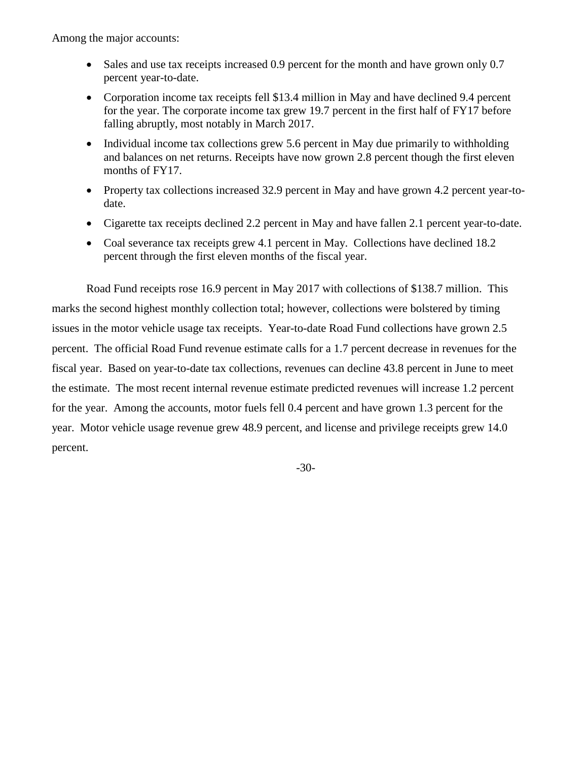Among the major accounts:

- Sales and use tax receipts increased 0.9 percent for the month and have grown only 0.7 percent year-to-date.
- Corporation income tax receipts fell \$13.4 million in May and have declined 9.4 percent for the year. The corporate income tax grew 19.7 percent in the first half of FY17 before falling abruptly, most notably in March 2017.
- Individual income tax collections grew 5.6 percent in May due primarily to withholding and balances on net returns. Receipts have now grown 2.8 percent though the first eleven months of FY17.
- Property tax collections increased 32.9 percent in May and have grown 4.2 percent year-todate.
- Cigarette tax receipts declined 2.2 percent in May and have fallen 2.1 percent year-to-date.
- Coal severance tax receipts grew 4.1 percent in May. Collections have declined 18.2 percent through the first eleven months of the fiscal year.

Road Fund receipts rose 16.9 percent in May 2017 with collections of \$138.7 million. This marks the second highest monthly collection total; however, collections were bolstered by timing issues in the motor vehicle usage tax receipts. Year-to-date Road Fund collections have grown 2.5 percent. The official Road Fund revenue estimate calls for a 1.7 percent decrease in revenues for the fiscal year. Based on year-to-date tax collections, revenues can decline 43.8 percent in June to meet the estimate. The most recent internal revenue estimate predicted revenues will increase 1.2 percent for the year. Among the accounts, motor fuels fell 0.4 percent and have grown 1.3 percent for the year. Motor vehicle usage revenue grew 48.9 percent, and license and privilege receipts grew 14.0 percent.

-30-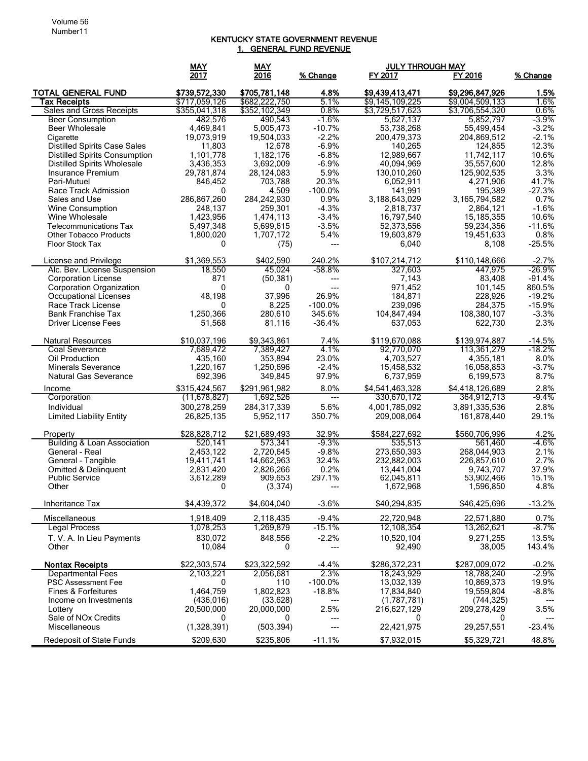## KENTUCKY STATE GOVERNMENT REVENUE 1. GENERAL FUND REVENUE

|                                                          | MAY                            | <b>MAY</b>                     |                |                                    | <b>JULY THROUGH MAY</b>            |                |
|----------------------------------------------------------|--------------------------------|--------------------------------|----------------|------------------------------------|------------------------------------|----------------|
|                                                          | 2017                           | 2016                           | % Change       | FY 2017                            | FY 2016                            | % Change       |
|                                                          |                                |                                |                |                                    |                                    |                |
| <b>TOTAL GENERAL FUND</b><br>Tax Receipts                | \$739,572,330<br>\$717,059,126 | \$705,781,148<br>\$682,222,750 | 4.8%<br>5.1%   | \$9,439,413,471<br>\$9,145,109,225 | \$9,296,847,926<br>\$9,004,509,133 | 1.5%<br>1.6%   |
| Sales and Gross Receipts                                 | \$355,041,318                  | \$352,102,349                  | $0.8\%$        | \$3,729,517,623                    | \$3,706,554,320                    | 0.6%           |
| <b>Beer Consumption</b>                                  | 482,576                        | 490,543                        | $-1.6%$        | 5,627,137                          | 5,852,797                          | $-3.9%$        |
| <b>Beer Wholesale</b>                                    | 4,469,841                      | 5,005,473                      | $-10.7%$       | 53,738,268                         | 55,499,454                         | $-3.2%$        |
| Cigarette                                                | 19,073,919                     | 19,504,033                     | $-2.2%$        | 200,479,373                        | 204,869,512                        | $-2.1%$        |
| <b>Distilled Spirits Case Sales</b>                      | 11,803                         | 12,678                         | $-6.9%$        | 140,265                            | 124,855                            | 12.3%          |
| <b>Distilled Spirits Consumption</b>                     | 1,101,778                      | 1,182,176                      | $-6.8%$        | 12,989,667                         | 11,742,117                         | 10.6%          |
| <b>Distilled Spirits Wholesale</b>                       | 3,436,353                      | 3,692,009                      | $-6.9%$        | 40,094,969                         | 35,557,600                         | 12.8%          |
| Insurance Premium                                        | 29,781,874                     | 28,124,083                     | 5.9%           | 130,010,260                        | 125,902,535                        | 3.3%           |
| Pari-Mutuel                                              | 846,452                        | 703,788                        | 20.3%          | 6,052,911                          | 4,271,906                          | 41.7%          |
| Race Track Admission                                     | 0                              | 4,509                          | $-100.0\%$     | 141,991                            | 195,389                            | $-27.3%$       |
| Sales and Use                                            | 286,867,260                    | 284,242,930                    | 0.9%           | 3,188,643,029                      | 3, 165, 794, 582                   | 0.7%           |
| Wine Consumption                                         | 248,137                        | 259,301                        | $-4.3%$        | 2,818,737                          | 2,864,121                          | $-1.6%$        |
| Wine Wholesale                                           | 1,423,956                      | 1,474,113                      | $-3.4%$        | 16,797,540                         | 15, 185, 355                       | 10.6%          |
| <b>Telecommunications Tax</b>                            | 5,497,348                      | 5,699,615                      | $-3.5%$        | 52,373,556                         | 59,234,356                         | $-11.6%$       |
| <b>Other Tobacco Products</b>                            | 1,800,020                      | 1,707,172                      | 5.4%           | 19,603,879                         | 19,451,633                         | 0.8%           |
| Floor Stock Tax                                          | 0                              | (75)                           | $---$          | 6,040                              | 8,108                              | $-25.5%$       |
| License and Privilege                                    | \$1,369,553                    | \$402,590                      | 240.2%         | \$107,214,712                      | \$110,148,666                      | $-2.7%$        |
| Alc. Bev. License Suspension                             | 18,550                         | 45.024                         | -58.8%         | 327,603                            | 447.975                            | -26.9%         |
| <b>Corporation License</b>                               | 871                            | (50, 381)                      | ---            | 7,143                              | 83,408                             | $-91.4%$       |
| Corporation Organization                                 | 0                              | 0                              | ---            | 971,452                            | 101,145                            | 860.5%         |
| Occupational Licenses                                    | 48,198                         | 37,996                         | 26.9%          | 184,871                            | 228,926                            | $-19.2%$       |
| Race Track License                                       | $\mathbf{0}$                   | 8,225                          | $-100.0\%$     | 239,096                            | 284,375                            | $-15.9%$       |
| <b>Bank Franchise Tax</b>                                | 1,250,366                      | 280.610                        | 345.6%         | 104,847,494                        | 108,380,107                        | $-3.3%$        |
| <b>Driver License Fees</b>                               | 51,568                         | 81,116                         | $-36.4%$       | 637,053                            | 622,730                            | 2.3%           |
|                                                          |                                |                                |                |                                    |                                    |                |
| <b>Natural Resources</b>                                 | \$10,037,196                   | \$9,343,861                    | 7.4%           | \$119,670,088                      | \$139,974,887                      | $-14.5%$       |
| <b>Coal Severance</b>                                    | 7,689,472                      | 7,389,427                      | 4.1%           | 92,770,070                         | 113,361,279                        | $-18.2%$       |
| Oil Production                                           | 435,160                        | 353,894                        | 23.0%          | 4,703,527                          | 4,355,181                          | 8.0%           |
| <b>Minerals Severance</b>                                | 1,220,167                      | 1,250,696                      | $-2.4%$        | 15,458,532                         | 16,058,853                         | $-3.7%$        |
| <b>Natural Gas Severance</b>                             | 692,396                        | 349,845                        | 97.9%          | 6,737,959                          | 6,199,573                          | 8.7%           |
| Income                                                   | \$315,424,567                  | \$291,961,982                  | 8.0%           | \$4,541,463,328                    | \$4,418,126,689                    | 2.8%           |
| Corporation                                              | (11, 678, 827)                 | 1,692,526                      | $---$          | 330,670,172                        | 364,912,713                        | -9.4%          |
| Individual                                               | 300,278,259                    | 284,317,339                    | 5.6%           | 4,001,785,092                      | 3,891,335,536                      | 2.8%           |
| <b>Limited Liability Entity</b>                          | 26,825,135                     | 5,952,117                      | 350.7%         | 209,008,064                        | 161,878,440                        | 29.1%          |
|                                                          |                                |                                |                |                                    |                                    |                |
| Property                                                 | \$28,828,712                   | \$21,689,493                   | 32.9%          | \$584,227,692                      | \$560,706,996                      | 4.2%           |
| <b>Building &amp; Loan Association</b>                   | 520.141                        | 573,341                        | $-9.3%$        | 535,513                            | 561,460                            | $-4.6%$        |
| General - Real                                           | 2,453,122                      | 2,720,645                      | $-9.8%$        | 273,650,393                        | 268,044,903                        | 2.1%           |
| General - Tangible                                       | 19,411,741                     | 14,662,963                     | 32.4%          | 232,882,003                        | 226,857,610                        | 2.7%           |
| <b>Omitted &amp; Delinguent</b><br><b>Public Service</b> | 2,831,420<br>3,612,289         | 2,826,266<br>909,653           | 0.2%<br>297.1% | 13.441.004<br>62,045,811           | 9,743,707<br>53,902,466            | 37.9%<br>15.1% |
| Other                                                    | 0                              | (3, 374)                       | ---            | 1,672,968                          | 1,596,850                          | 4.8%           |
|                                                          |                                |                                |                |                                    |                                    |                |
| Inheritance Tax                                          | \$4,439,372                    | \$4,604,040                    | $-3.6%$        | \$40,294,835                       | \$46,425,696                       | $-13.2%$       |
|                                                          |                                |                                |                |                                    |                                    |                |
| Miscellaneous                                            | 1,918,409                      | 2,118,435                      | $-9.4%$        | 22,720,948                         | 22,571,880                         | 0.7%           |
| Legal Process                                            | 1,078,253                      | 1,269,879                      | $-15.1%$       | 12,108,354                         | 13,262,621                         | $-8.7\%$       |
| T. V. A. In Lieu Payments                                | 830,072                        | 848,556                        | $-2.2%$        | 10,520,104                         | 9,271,255                          | 13.5%          |
| Other                                                    | 10,084                         | 0                              | ---            | 92,490                             | 38,005                             | 143.4%         |
| <b>Nontax Receipts</b>                                   | \$22,303,574                   | \$23,322,592                   | $-4.4%$        | \$286,372,231                      | \$287,009,072                      | $-0.2%$        |
| <b>Departmental Fees</b>                                 | 2,103,221                      | 2,056,681                      | 2.3%           | 18.243.929                         | 18,788,240                         | $-2.9%$        |
| <b>PSC Assessment Fee</b>                                | 0                              | 110                            | $-100.0\%$     | 13,032,139                         | 10,869,373                         | 19.9%          |
| Fines & Forfeitures                                      | 1,464,759                      | 1,802,823                      | $-18.8%$       | 17,834,840                         | 19,559,804                         | $-8.8%$        |
| Income on Investments                                    | (436, 016)                     | (33, 628)                      | ---            | (1,787,781)                        | (744, 325)                         |                |
| Lottery                                                  | 20,500,000                     | 20,000,000                     | 2.5%           | 216,627,129                        | 209,278,429                        | 3.5%           |
| Sale of NO <sub>x</sub> Credits                          | 0                              | 0                              | ---            |                                    | 0                                  |                |
| Miscellaneous                                            | (1,328,391)                    | (503, 394)                     | ---            | 22,421,975                         | 29,257,551                         | $-23.4%$       |
| <b>Redeposit of State Funds</b>                          | \$209,630                      | \$235,806                      | $-11.1%$       | \$7,932,015                        | \$5,329,721                        | 48.8%          |
|                                                          |                                |                                |                |                                    |                                    |                |